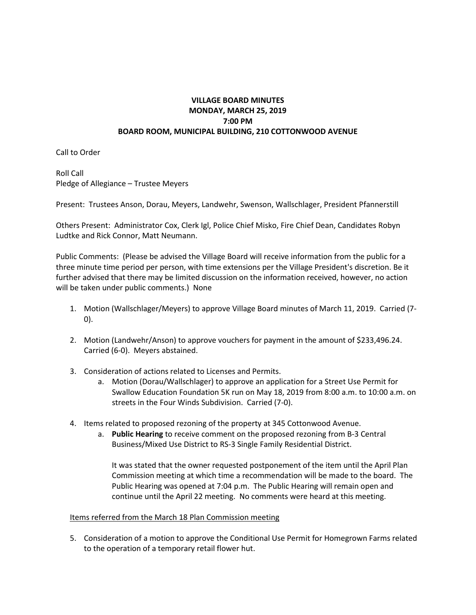## **VILLAGE BOARD MINUTES MONDAY, MARCH 25, 2019 7:00 PM BOARD ROOM, MUNICIPAL BUILDING, 210 COTTONWOOD AVENUE**

Call to Order

Roll Call Pledge of Allegiance – Trustee Meyers

Present: Trustees Anson, Dorau, Meyers, Landwehr, Swenson, Wallschlager, President Pfannerstill

Others Present: Administrator Cox, Clerk Igl, Police Chief Misko, Fire Chief Dean, Candidates Robyn Ludtke and Rick Connor, Matt Neumann.

Public Comments: (Please be advised the Village Board will receive information from the public for a three minute time period per person, with time extensions per the Village President's discretion. Be it further advised that there may be limited discussion on the information received, however, no action will be taken under public comments.) None

- 1. Motion (Wallschlager/Meyers) to approve Village Board minutes of March 11, 2019. Carried (7- 0).
- 2. Motion (Landwehr/Anson) to approve vouchers for payment in the amount of \$233,496.24. Carried (6-0). Meyers abstained.
- 3. Consideration of actions related to Licenses and Permits.
	- a. Motion (Dorau/Wallschlager) to approve an application for a Street Use Permit for Swallow Education Foundation 5K run on May 18, 2019 from 8:00 a.m. to 10:00 a.m. on streets in the Four Winds Subdivision. Carried (7-0).
- 4. Items related to proposed rezoning of the property at 345 Cottonwood Avenue.
	- a. **Public Hearing** to receive comment on the proposed rezoning from B-3 Central Business/Mixed Use District to RS-3 Single Family Residential District.

It was stated that the owner requested postponement of the item until the April Plan Commission meeting at which time a recommendation will be made to the board. The Public Hearing was opened at 7:04 p.m. The Public Hearing will remain open and continue until the April 22 meeting. No comments were heard at this meeting.

## Items referred from the March 18 Plan Commission meeting

5. Consideration of a motion to approve the Conditional Use Permit for Homegrown Farms related to the operation of a temporary retail flower hut.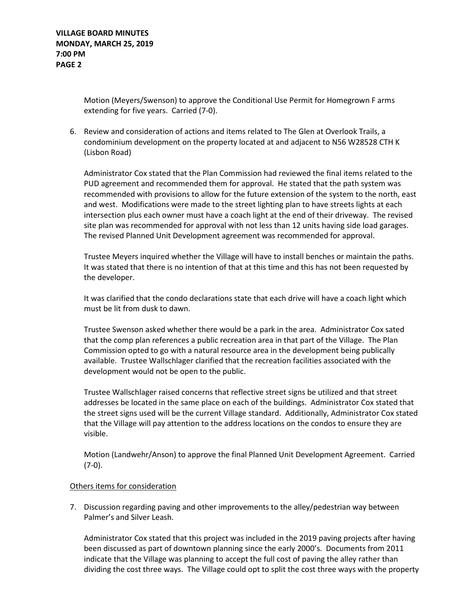Motion (Meyers/Swenson) to approve the Conditional Use Permit for Homegrown F arms extending for five years. Carried (7-0).

6. Review and consideration of actions and items related to The Glen at Overlook Trails, a condominium development on the property located at and adjacent to N56 W28528 CTH K (Lisbon Road)

Administrator Cox stated that the Plan Commission had reviewed the final items related to the PUD agreement and recommended them for approval. He stated that the path system was recommended with provisions to allow for the future extension of the system to the north, east and west. Modifications were made to the street lighting plan to have streets lights at each intersection plus each owner must have a coach light at the end of their driveway. The revised site plan was recommended for approval with not less than 12 units having side load garages. The revised Planned Unit Development agreement was recommended for approval.

Trustee Meyers inquired whether the Village will have to install benches or maintain the paths. It was stated that there is no intention of that at this time and this has not been requested by the developer.

It was clarified that the condo declarations state that each drive will have a coach light which must be lit from dusk to dawn.

Trustee Swenson asked whether there would be a park in the area. Administrator Cox sated that the comp plan references a public recreation area in that part of the Village. The Plan Commission opted to go with a natural resource area in the development being publically available. Trustee Wallschlager clarified that the recreation facilities associated with the development would not be open to the public.

Trustee Wallschlager raised concerns that reflective street signs be utilized and that street addresses be located in the same place on each of the buildings. Administrator Cox stated that the street signs used will be the current Village standard. Additionally, Administrator Cox stated that the Village will pay attention to the address locations on the condos to ensure they are visible.

Motion (Landwehr/Anson) to approve the final Planned Unit Development Agreement. Carried (7-0).

## Others items for consideration

7. Discussion regarding paving and other improvements to the alley/pedestrian way between Palmer's and Silver Leash.

Administrator Cox stated that this project was included in the 2019 paving projects after having been discussed as part of downtown planning since the early 2000's. Documents from 2011 indicate that the Village was planning to accept the full cost of paving the alley rather than dividing the cost three ways. The Village could opt to split the cost three ways with the property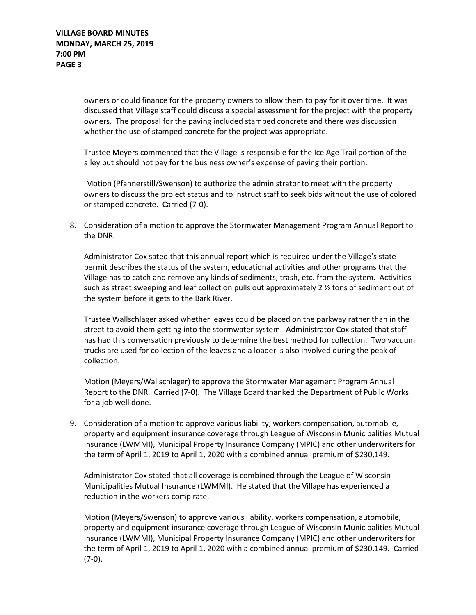owners or could finance for the property owners to allow them to pay for it over time. It was discussed that Village staff could discuss a special assessment for the project with the property owners. The proposal for the paving included stamped concrete and there was discussion whether the use of stamped concrete for the project was appropriate.

Trustee Meyers commented that the Village is responsible for the Ice Age Trail portion of the alley but should not pay for the business owner's expense of paving their portion.

Motion (Pfannerstill/Swenson) to authorize the administrator to meet with the property owners to discuss the project status and to instruct staff to seek bids without the use of colored or stamped concrete. Carried (7-0).

8. Consideration of a motion to approve the Stormwater Management Program Annual Report to the DNR.

Administrator Cox sated that this annual report which is required under the Village's state permit describes the status of the system, educational activities and other programs that the Village has to catch and remove any kinds of sediments, trash, etc. from the system. Activities such as street sweeping and leaf collection pulls out approximately 2 ½ tons of sediment out of the system before it gets to the Bark River.

Trustee Wallschlager asked whether leaves could be placed on the parkway rather than in the street to avoid them getting into the stormwater system. Administrator Cox stated that staff has had this conversation previously to determine the best method for collection. Two vacuum trucks are used for collection of the leaves and a loader is also involved during the peak of collection.

Motion (Meyers/Wallschlager) to approve the Stormwater Management Program Annual Report to the DNR. Carried (7-0). The Village Board thanked the Department of Public Works for a job well done.

9. Consideration of a motion to approve various liability, workers compensation, automobile, property and equipment insurance coverage through League of Wisconsin Municipalities Mutual Insurance (LWMMI), Municipal Property Insurance Company (MPIC) and other underwriters for the term of April 1, 2019 to April 1, 2020 with a combined annual premium of \$230,149.

Administrator Cox stated that all coverage is combined through the League of Wisconsin Municipalities Mutual Insurance (LWMMI). He stated that the Village has experienced a reduction in the workers comp rate.

Motion (Meyers/Swenson) to approve various liability, workers compensation, automobile, property and equipment insurance coverage through League of Wisconsin Municipalities Mutual Insurance (LWMMI), Municipal Property Insurance Company (MPIC) and other underwriters for the term of April 1, 2019 to April 1, 2020 with a combined annual premium of \$230,149. Carried (7-0).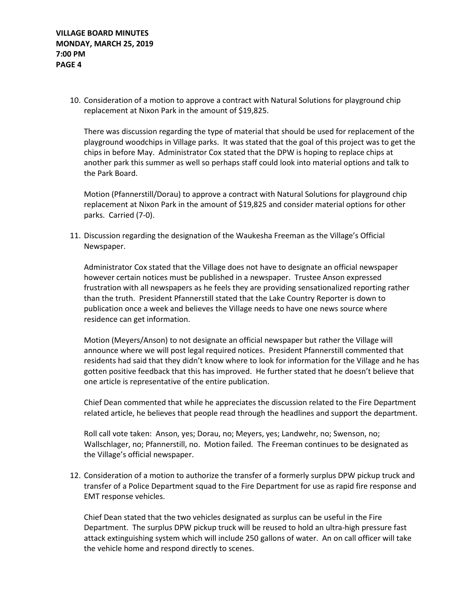10. Consideration of a motion to approve a contract with Natural Solutions for playground chip replacement at Nixon Park in the amount of \$19,825.

There was discussion regarding the type of material that should be used for replacement of the playground woodchips in Village parks. It was stated that the goal of this project was to get the chips in before May. Administrator Cox stated that the DPW is hoping to replace chips at another park this summer as well so perhaps staff could look into material options and talk to the Park Board.

Motion (Pfannerstill/Dorau) to approve a contract with Natural Solutions for playground chip replacement at Nixon Park in the amount of \$19,825 and consider material options for other parks. Carried (7-0).

11. Discussion regarding the designation of the Waukesha Freeman as the Village's Official Newspaper.

Administrator Cox stated that the Village does not have to designate an official newspaper however certain notices must be published in a newspaper. Trustee Anson expressed frustration with all newspapers as he feels they are providing sensationalized reporting rather than the truth. President Pfannerstill stated that the Lake Country Reporter is down to publication once a week and believes the Village needs to have one news source where residence can get information.

Motion (Meyers/Anson) to not designate an official newspaper but rather the Village will announce where we will post legal required notices. President Pfannerstill commented that residents had said that they didn't know where to look for information for the Village and he has gotten positive feedback that this has improved. He further stated that he doesn't believe that one article is representative of the entire publication.

Chief Dean commented that while he appreciates the discussion related to the Fire Department related article, he believes that people read through the headlines and support the department.

Roll call vote taken: Anson, yes; Dorau, no; Meyers, yes; Landwehr, no; Swenson, no; Wallschlager, no; Pfannerstill, no. Motion failed. The Freeman continues to be designated as the Village's official newspaper.

12. Consideration of a motion to authorize the transfer of a formerly surplus DPW pickup truck and transfer of a Police Department squad to the Fire Department for use as rapid fire response and EMT response vehicles.

Chief Dean stated that the two vehicles designated as surplus can be useful in the Fire Department. The surplus DPW pickup truck will be reused to hold an ultra-high pressure fast attack extinguishing system which will include 250 gallons of water. An on call officer will take the vehicle home and respond directly to scenes.